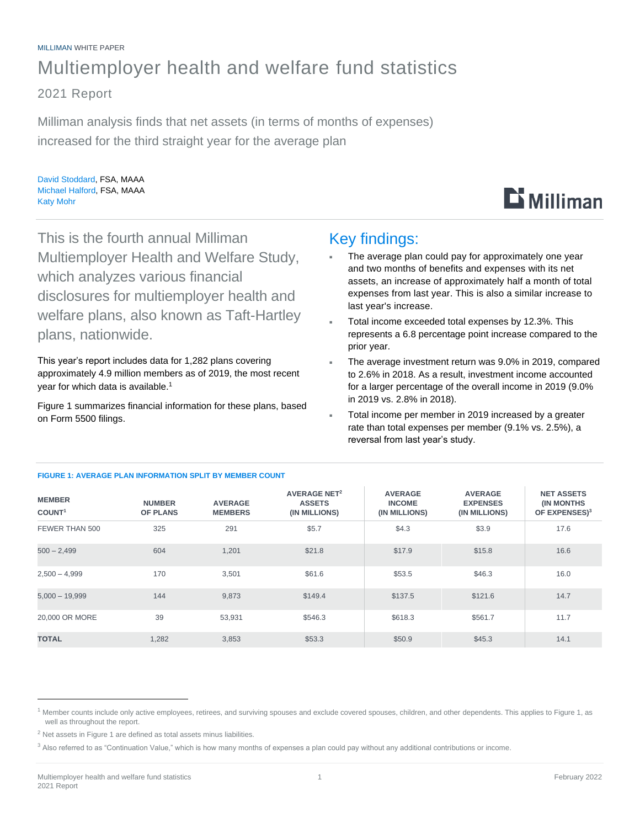# MILLIMAN WHITE PAPER Multiemployer health and welfare fund statistics

2021 Report

Milliman analysis finds that net assets (in terms of months of expenses) increased for the third straight year for the average plan

David Stoddard, FSA, MAAA Michael Halford, FSA, MAAA Katy Mohr



This is the fourth annual Milliman Multiemployer Health and Welfare Study, which analyzes various financial disclosures for multiemployer health and welfare plans, also known as Taft-Hartley plans, nationwide.

This year's report includes data for 1,282 plans covering approximately 4.9 million members as of 2019, the most recent year for which data is available. 1

Figure 1 summarizes financial information for these plans, based on Form 5500 filings.

## Key findings:

- The average plan could pay for approximately one year and two months of benefits and expenses with its net assets, an increase of approximately half a month of total expenses from last year. This is also a similar increase to last year's increase.
- Total income exceeded total expenses by 12.3%. This represents a 6.8 percentage point increase compared to the prior year.
- The average investment return was 9.0% in 2019, compared to 2.6% in 2018. As a result, investment income accounted for a larger percentage of the overall income in 2019 (9.0% in 2019 vs. 2.8% in 2018).
- Total income per member in 2019 increased by a greater rate than total expenses per member (9.1% vs. 2.5%), a reversal from last year's study.

| <b>MEMBER</b><br>COUNT <sup>1</sup> | <b>NUMBER</b><br><b>OF PLANS</b> | <b>AVERAGE</b><br><b>MEMBERS</b> | <b>AVERAGE NET<sup>2</sup></b><br><b>ASSETS</b><br>(IN MILLIONS) | <b>AVERAGE</b><br><b>INCOME</b><br>(IN MILLIONS) | <b>AVERAGE</b><br><b>EXPENSES</b><br>(IN MILLIONS) | <b>NET ASSETS</b><br><b>(IN MONTHS)</b><br>OF EXPENSES) <sup>3</sup> |
|-------------------------------------|----------------------------------|----------------------------------|------------------------------------------------------------------|--------------------------------------------------|----------------------------------------------------|----------------------------------------------------------------------|
| FEWER THAN 500                      | 325                              | 291                              | \$5.7                                                            | \$4.3                                            | \$3.9                                              | 17.6                                                                 |
| $500 - 2,499$                       | 604                              | 1,201                            | \$21.8                                                           | \$17.9                                           | \$15.8                                             | 16.6                                                                 |
| $2,500 - 4,999$                     | 170                              | 3,501                            | \$61.6                                                           | \$53.5                                           | \$46.3                                             | 16.0                                                                 |
| $5,000 - 19,999$                    | 144                              | 9,873                            | \$149.4                                                          | \$137.5                                          | \$121.6                                            | 14.7                                                                 |
| 20,000 OR MORE                      | 39                               | 53,931                           | \$546.3                                                          | \$618.3                                          | \$561.7                                            | 11.7                                                                 |
| <b>TOTAL</b>                        | 1,282                            | 3,853                            | \$53.3                                                           | \$50.9                                           | \$45.3                                             | 14.1                                                                 |

### **FIGURE 1: AVERAGE PLAN INFORMATION SPLIT BY MEMBER COUNT**

<sup>&</sup>lt;sup>1</sup> Member counts include only active employees, retirees, and surviving spouses and exclude covered spouses, children, and other dependents. This applies to Figure 1, as well as throughout the report.

 $2$  Net assets in Figure 1 are defined as total assets minus liabilities.

<sup>&</sup>lt;sup>3</sup> Also referred to as "Continuation Value," which is how many months of expenses a plan could pay without any additional contributions or income.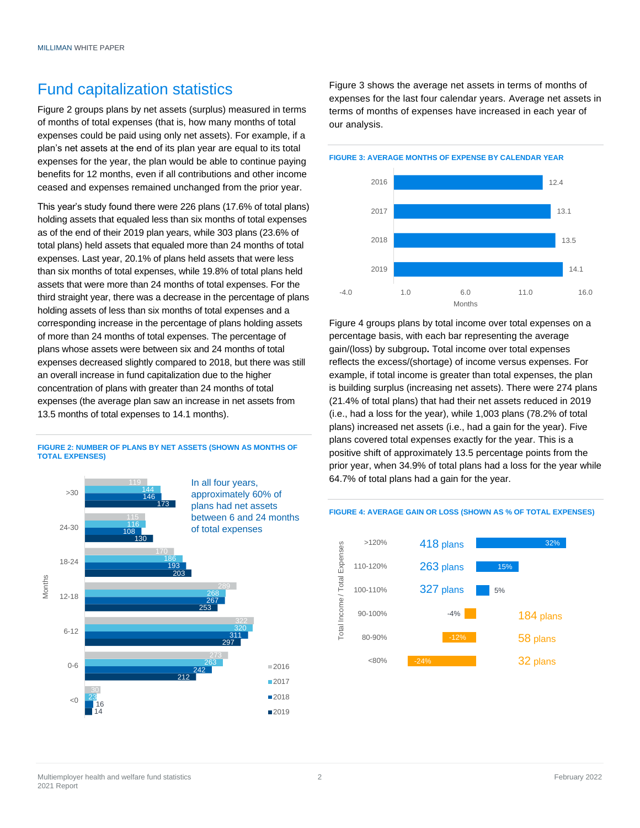# Fund capitalization statistics

Figure 2 groups plans by net assets (surplus) measured in terms of months of total expenses (that is, how many months of total expenses could be paid using only net assets). For example, if a plan's net assets at the end of its plan year are equal to its total expenses for the year, the plan would be able to continue paying benefits for 12 months, even if all contributions and other income ceased and expenses remained unchanged from the prior year.

This year's study found there were 226 plans (17.6% of total plans) holding assets that equaled less than six months of total expenses as of the end of their 2019 plan years, while 303 plans (23.6% of total plans) held assets that equaled more than 24 months of total expenses. Last year, 20.1% of plans held assets that were less than six months of total expenses, while 19.8% of total plans held assets that were more than 24 months of total expenses. For the third straight year, there was a decrease in the percentage of plans holding assets of less than six months of total expenses and a corresponding increase in the percentage of plans holding assets of more than 24 months of total expenses. The percentage of plans whose assets were between six and 24 months of total expenses decreased slightly compared to 2018, but there was still an overall increase in fund capitalization due to the higher concentration of plans with greater than 24 months of total expenses (the average plan saw an increase in net assets from 13.5 months of total expenses to 14.1 months).

#### **FIGURE 2: NUMBER OF PLANS BY NET ASSETS (SHOWN AS MONTHS OF TOTAL EXPENSES)**



Figure 3 shows the average net assets in terms of months of expenses for the last four calendar years. Average net assets in terms of months of expenses have increased in each year of our analysis.

**FIGURE 3: AVERAGE MONTHS OF EXPENSE BY CALENDAR YEAR**



Figure 4 groups plans by total income over total expenses on a percentage basis, with each bar representing the average gain/(loss) by subgroup**.** Total income over total expenses reflects the excess/(shortage) of income versus expenses. For example, if total income is greater than total expenses, the plan is building surplus (increasing net assets). There were 274 plans (21.4% of total plans) that had their net assets reduced in 2019 (i.e., had a loss for the year), while 1,003 plans (78.2% of total plans) increased net assets (i.e., had a gain for the year). Five plans covered total expenses exactly for the year. This is a positive shift of approximately 13.5 percentage points from the prior year, when 34.9% of total plans had a loss for the year while 64.7% of total plans had a gain for the year.

#### >120% 418 plans 32% otal Income / Total Expenses Total Income / Total Expenses 110-120% 263 plans 15% 327 plans 100-110% 5% 90-100%  $-4%$ 184 plans 80-90% 58 plans <80% 32 plans -24%

### **FIGURE 4: AVERAGE GAIN OR LOSS (SHOWN AS % OF TOTAL EXPENSES)**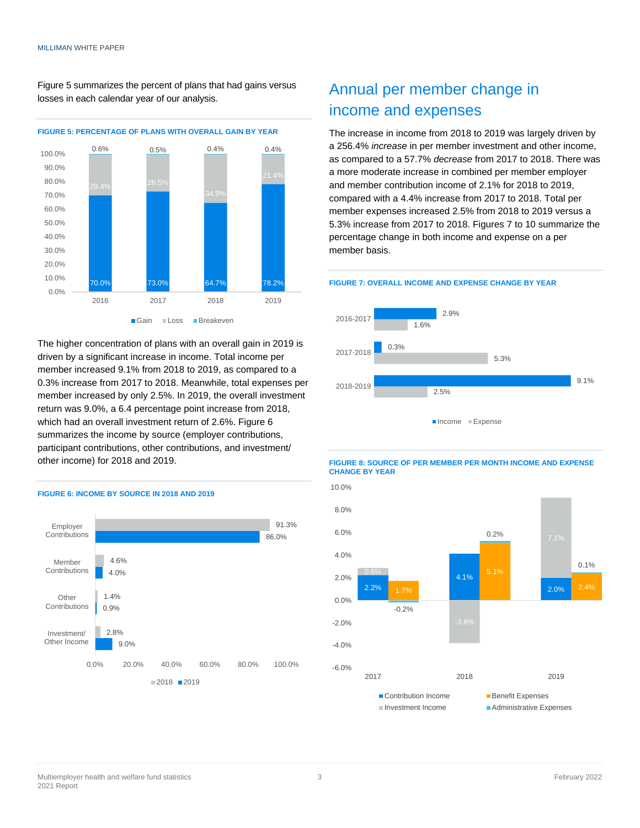Figure 5 summarizes the percent of plans that had gains versus losses in each calendar year of our analysis.



The higher concentration of plans with an overall gain in 2019 is driven by a significant increase in income. Total income per member increased 9.1% from 2018 to 2019, as compared to a 0.3% increase from 2017 to 2018. Meanwhile, total expenses per member increased by only 2.5%. In 2019, the overall investment return was 9.0%, a 6.4 percentage point increase from 2018, which had an overall investment return of 2.6%. Figure 6 summarizes the income by source (employer contributions, participant contributions, other contributions, and investment/ other income) for 2018 and 2019.



#### **FIGURE 6: INCOME BY SOURCE IN 2018 AND 2019**

# Annual per member change in income and expenses

The increase in income from 2018 to 2019 was largely driven by a 256.4% *increase* in per member investment and other income, as compared to a 57.7% *decrease* from 2017 to 2018. There was a more moderate increase in combined per member employer and member contribution income of 2.1% for 2018 to 2019, compared with a 4.4% increase from 2017 to 2018. Total per member expenses increased 2.5% from 2018 to 2019 versus a 5.3% increase from 2017 to 2018. Figures 7 to 10 summarize the percentage change in both income and expense on a per member basis.

#### **FIGURE 7: OVERALL INCOME AND EXPENSE CHANGE BY YEAR**





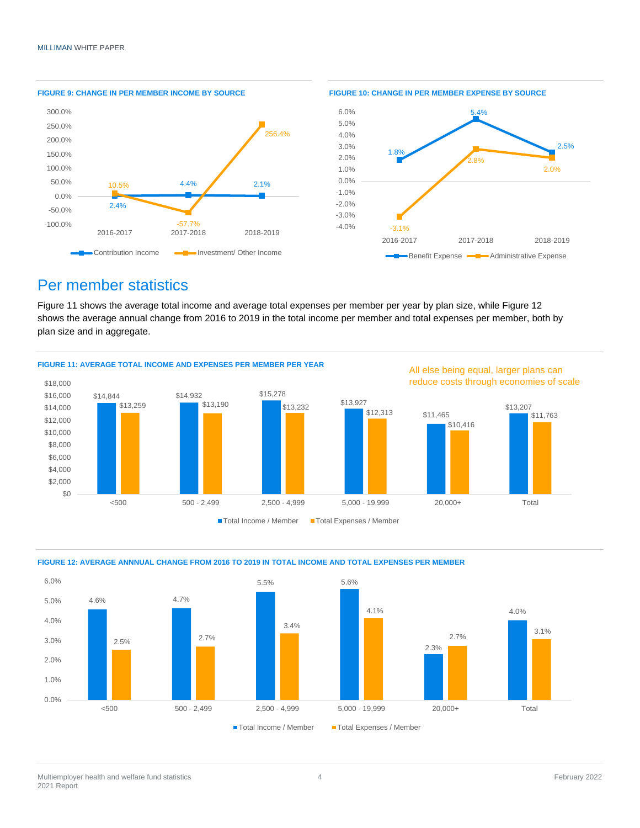

## Per member statistics

Figure 11 shows the average total income and average total expenses per member per year by plan size, while Figure 12 shows the average annual change from 2016 to 2019 in the total income per member and total expenses per member, both by plan size and in aggregate.





### **FIGURE 12: AVERAGE ANNNUAL CHANGE FROM 2016 TO 2019 IN TOTAL INCOME AND TOTAL EXPENSES PER MEMBER**